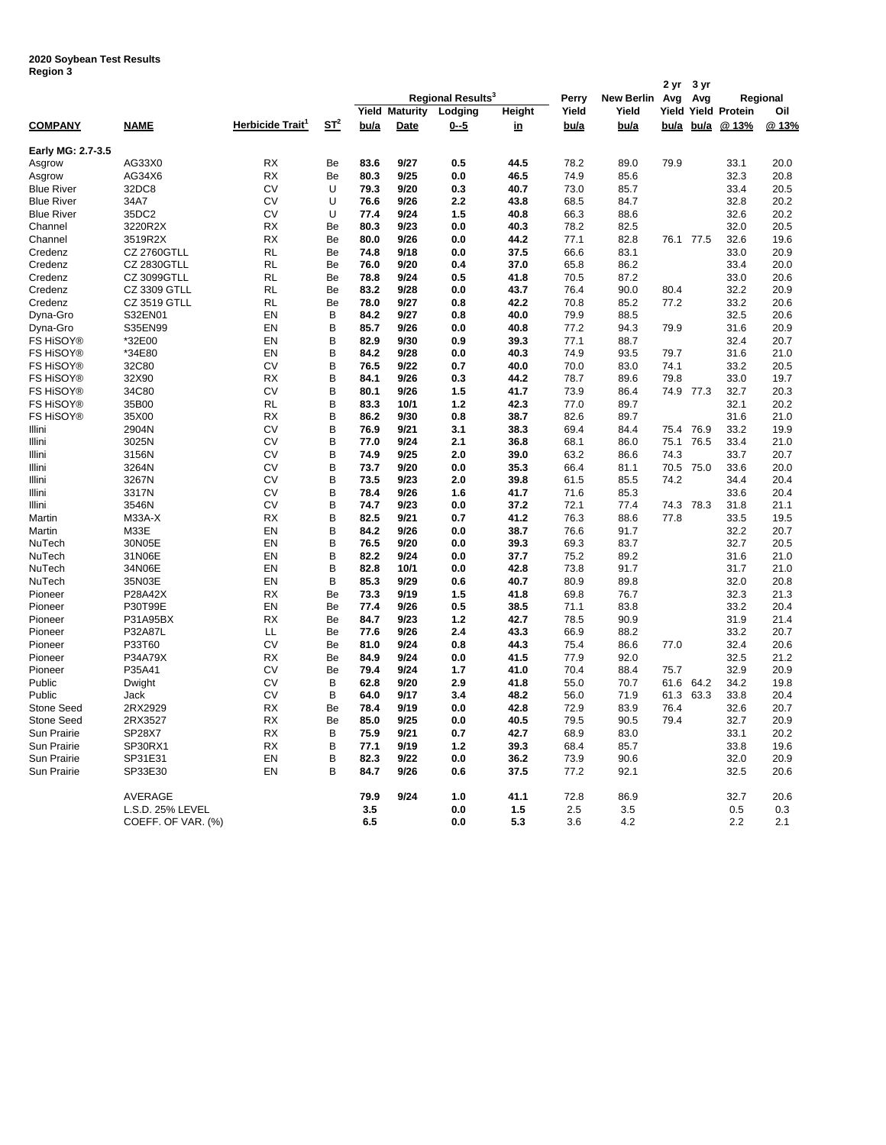## **2020 Soybean Test Results Region 3**

|                    |                     |                              |        | Regional Results <sup>3</sup> |              |            |              |              |                   | 2 yr         | 3 yr      |                            |              |
|--------------------|---------------------|------------------------------|--------|-------------------------------|--------------|------------|--------------|--------------|-------------------|--------------|-----------|----------------------------|--------------|
|                    |                     |                              |        |                               |              |            |              | Perry        | <b>New Berlin</b> | Avg          | Avg       | Regional                   |              |
|                    |                     |                              |        | <b>Yield Maturity</b>         |              | Lodging    | Height       | Yield        | Yield             |              |           | Yield Yield Protein<br>Oil |              |
| <b>COMPANY</b>     | <b>NAME</b>         | Herbicide Trait <sup>1</sup> | $ST^2$ | bu/a                          | Date         | 0--5       | <u>in</u>    | bu/a         | bu/a              |              | bu/a bu/a | @13%                       | @13%         |
| Early MG: 2.7-3.5  |                     |                              |        |                               |              |            |              |              |                   |              |           |                            |              |
| Asgrow             | AG33X0              | RX                           | Be     | 83.6                          | 9/27         | 0.5        | 44.5         | 78.2         | 89.0              | 79.9         |           | 33.1                       | 20.0         |
| Asgrow             | AG34X6              | <b>RX</b>                    | Be     | 80.3                          | 9/25         | 0.0        | 46.5         | 74.9         | 85.6              |              |           | 32.3                       | 20.8         |
| <b>Blue River</b>  | 32DC8               | CV                           | U      | 79.3                          | 9/20         | 0.3        | 40.7         | 73.0         | 85.7              |              |           | 33.4                       | 20.5         |
| <b>Blue River</b>  | 34A7                | CV                           | U      | 76.6                          | 9/26         | 2.2        | 43.8         | 68.5         | 84.7              |              |           | 32.8                       | 20.2         |
| <b>Blue River</b>  | 35DC2               | CV                           | U      | 77.4                          | 9/24         | 1.5        | 40.8         | 66.3         | 88.6              |              |           | 32.6                       | 20.2         |
| Channel            | 3220R2X             | <b>RX</b>                    | Be     | 80.3                          | 9/23         | 0.0        | 40.3         | 78.2         | 82.5              |              |           | 32.0                       | 20.5         |
| Channel            | 3519R2X             | RX                           | Be     | 80.0                          | 9/26         | 0.0        | 44.2         | 77.1         | 82.8              |              | 76.1 77.5 | 32.6                       | 19.6         |
| Credenz            | <b>CZ 2760GTLL</b>  | <b>RL</b>                    | Be     | 74.8                          | 9/18         | 0.0        | 37.5         | 66.6         | 83.1              |              |           | 33.0                       | 20.9         |
| Credenz            | <b>CZ 2830GTLL</b>  | <b>RL</b>                    | Be     | 76.0                          | 9/20         | 0.4        | 37.0         | 65.8         | 86.2              |              |           | 33.4                       | 20.0         |
| Credenz            | CZ 3099GTLL         | <b>RL</b>                    | Be     | 78.8                          | 9/24         | 0.5        | 41.8         | 70.5         | 87.2              |              |           | 33.0                       | 20.6         |
| Credenz            | CZ 3309 GTLL        | RL                           | Be     | 83.2                          | 9/28         | 0.0        | 43.7         | 76.4         | 90.0              | 80.4         |           | 32.2                       | 20.9         |
| Credenz            | <b>CZ 3519 GTLL</b> | <b>RL</b>                    | Be     | 78.0                          | 9/27         | 0.8        | 42.2         | 70.8         | 85.2              | 77.2         |           | 33.2                       | 20.6         |
| Dyna-Gro           | S32EN01             | EN                           | B      | 84.2                          | 9/27         | 0.8        | 40.0         | 79.9         | 88.5              |              |           | 32.5                       | 20.6         |
| Dyna-Gro           | S35EN99             | EN                           | B      | 85.7                          | 9/26         | 0.0        | 40.8         | 77.2         | 94.3              | 79.9         |           | 31.6                       | 20.9         |
| FS HiSOY®          | *32E00              | EN                           | B      | 82.9                          | 9/30         | 0.9        | 39.3         | 77.1         | 88.7              |              |           | 32.4                       | 20.7         |
| <b>FS HiSOY®</b>   | *34E80              | EN                           | B      | 84.2                          | 9/28         | 0.0        | 40.3         | 74.9         | 93.5              | 79.7         |           | 31.6                       | 21.0         |
| <b>FS HiSOY®</b>   | 32C80               | CV                           | B      | 76.5                          | 9/22         | 0.7        | 40.0         | 70.0         | 83.0              | 74.1         |           | 33.2                       | 20.5         |
| <b>FS HiSOY®</b>   | 32X90               | <b>RX</b>                    | B      | 84.1                          | 9/26         | 0.3        | 44.2         | 78.7         | 89.6              | 79.8         |           | 33.0                       | 19.7         |
| <b>FS HISOY®</b>   | 34C80               | <b>CV</b>                    | B      | 80.1                          | 9/26         | 1.5        | 41.7         | 73.9         | 86.4              |              | 74.9 77.3 | 32.7                       | 20.3         |
| <b>FS HISOY®</b>   | 35B00               | RL                           | B      | 83.3                          | 10/1         | $1.2$      | 42.3         | 77.0         | 89.7              |              |           | 32.1                       | 20.2         |
| <b>FS HISOY®</b>   | 35X00               | RX                           | B      | 86.2                          | 9/30         | 0.8        | 38.7         | 82.6         | 89.7              |              |           | 31.6                       | 21.0         |
| Illini             | 2904N               | CV                           | B      | 76.9                          | 9/21         | 3.1        | 38.3         | 69.4         | 84.4              | 75.4 76.9    |           | 33.2                       | 19.9         |
| Illini             | 3025N               | CV                           | В      | 77.0                          | 9/24         | 2.1        | 36.8         | 68.1         | 86.0              | 75.1         | 76.5      | 33.4                       | 21.0         |
| Illini             | 3156N               | <b>CV</b>                    | B      | 74.9                          | 9/25         | 2.0        | 39.0         | 63.2         | 86.6              | 74.3         |           | 33.7                       | 20.7         |
| Illini             | 3264N<br>3267N      | CV<br>CV                     | B<br>B | 73.7<br>73.5                  | 9/20<br>9/23 | 0.0<br>2.0 | 35.3<br>39.8 | 66.4         | 81.1<br>85.5      | 70.5<br>74.2 | 75.0      | 33.6                       | 20.0<br>20.4 |
| Illini             |                     | <b>CV</b>                    |        |                               |              |            |              | 61.5         |                   |              |           | 34.4                       |              |
| Illini<br>Illini   | 3317N<br>3546N      | <b>CV</b>                    | B<br>B | 78.4<br>74.7                  | 9/26<br>9/23 | 1.6<br>0.0 | 41.7<br>37.2 | 71.6<br>72.1 | 85.3<br>77.4      | 74.3         | 78.3      | 33.6<br>31.8               | 20.4<br>21.1 |
| Martin             | M33A-X              | <b>RX</b>                    | B      | 82.5                          | 9/21         | 0.7        | 41.2         | 76.3         | 88.6              | 77.8         |           | 33.5                       | 19.5         |
| Martin             | M33E                | EN                           | B      | 84.2                          | 9/26         | 0.0        | 38.7         | 76.6         | 91.7              |              |           | 32.2                       | 20.7         |
| NuTech             | 30N05E              | EN                           | B      | 76.5                          | 9/20         | 0.0        | 39.3         | 69.3         | 83.7              |              |           | 32.7                       | 20.5         |
| NuTech             | 31N06E              | EN                           | B      | 82.2                          | 9/24         | 0.0        | 37.7         | 75.2         | 89.2              |              |           | 31.6                       | 21.0         |
| NuTech             | 34N06E              | EN                           | B      | 82.8                          | 10/1         | 0.0        | 42.8         | 73.8         | 91.7              |              |           | 31.7                       | 21.0         |
| NuTech             | 35N03E              | EN                           | B      | 85.3                          | 9/29         | 0.6        | 40.7         | 80.9         | 89.8              |              |           | 32.0                       | 20.8         |
| Pioneer            | P28A42X             | <b>RX</b>                    | Be     | 73.3                          | 9/19         | 1.5        | 41.8         | 69.8         | 76.7              |              |           | 32.3                       | 21.3         |
| Pioneer            | P30T99E             | EN                           | Be     | 77.4                          | 9/26         | 0.5        | 38.5         | 71.1         | 83.8              |              |           | 33.2                       | 20.4         |
| Pioneer            | P31A95BX            | <b>RX</b>                    | Be     | 84.7                          | 9/23         | 1.2        | 42.7         | 78.5         | 90.9              |              |           | 31.9                       | 21.4         |
| Pioneer            | P32A87L             | LL                           | Be     | 77.6                          | 9/26         | 2.4        | 43.3         | 66.9         | 88.2              |              |           | 33.2                       | 20.7         |
| Pioneer            | P33T60              | CV                           | Be     | 81.0                          | 9/24         | 0.8        | 44.3         | 75.4         | 86.6              | 77.0         |           | 32.4                       | 20.6         |
| Pioneer            | P34A79X             | <b>RX</b>                    | Be     | 84.9                          | 9/24         | 0.0        | 41.5         | 77.9         | 92.0              |              |           | 32.5                       | 21.2         |
| Pioneer            | P35A41              | CV                           | Be     | 79.4                          | 9/24         | 1.7        | 41.0         | 70.4         | 88.4              | 75.7         |           | 32.9                       | 20.9         |
| Public             | Dwight              | CV                           | B      | 62.8                          | 9/20         | 2.9        | 41.8         | 55.0         | 70.7              | 61.6         | 64.2      | 34.2                       | 19.8         |
| Public             | Jack                | CV                           | в      | 64.0                          | 9/17         | 3.4        | 48.2         | 56.0         | 71.9              | 61.3         | 63.3      | 33.8                       | 20.4         |
| <b>Stone Seed</b>  | 2RX2929             | RX                           | Be     | 78.4                          | 9/19         | 0.0        | 42.8         | 72.9         | 83.9              | 76.4         |           | 32.6                       | 20.7         |
| <b>Stone Seed</b>  | 2RX3527             | <b>RX</b>                    | Be     | 85.0                          | 9/25         | 0.0        | 40.5         | 79.5         | 90.5              | 79.4         |           | 32.7                       | 20.9         |
| Sun Prairie        | <b>SP28X7</b>       | RX                           | B      | 75.9                          | 9/21         | 0.7        | 42.7         | 68.9         | 83.0              |              |           | 33.1                       | 20.2         |
| Sun Prairie        | SP30RX1             | <b>RX</b>                    | B      | 77.1                          | 9/19         | 1.2        | 39.3         | 68.4         | 85.7              |              |           | 33.8                       | 19.6         |
| Sun Prairie        | SP31E31             | EN                           | B      | 82.3                          | 9/22         | 0.0        | 36.2         | 73.9         | 90.6              |              |           | 32.0                       | 20.9         |
| <b>Sun Prairie</b> | SP33E30             | EN                           | B      | 84.7                          | 9/26         | 0.6        | 37.5         | 77.2         | 92.1              |              |           | 32.5                       | 20.6         |
|                    | AVERAGE             |                              |        | 79.9                          | 9/24         | 1.0        | 41.1         | 72.8         | 86.9              |              |           | 32.7                       | 20.6         |
|                    | L.S.D. 25% LEVEL    |                              |        | 3.5                           |              | 0.0        | 1.5          | 2.5          | 3.5               |              |           | 0.5                        | 0.3          |
|                    | COEFF. OF VAR. (%)  |                              |        | 6.5                           |              | 0.0        | 5.3          | 3.6          | 4.2               |              |           | 2.2                        | 2.1          |